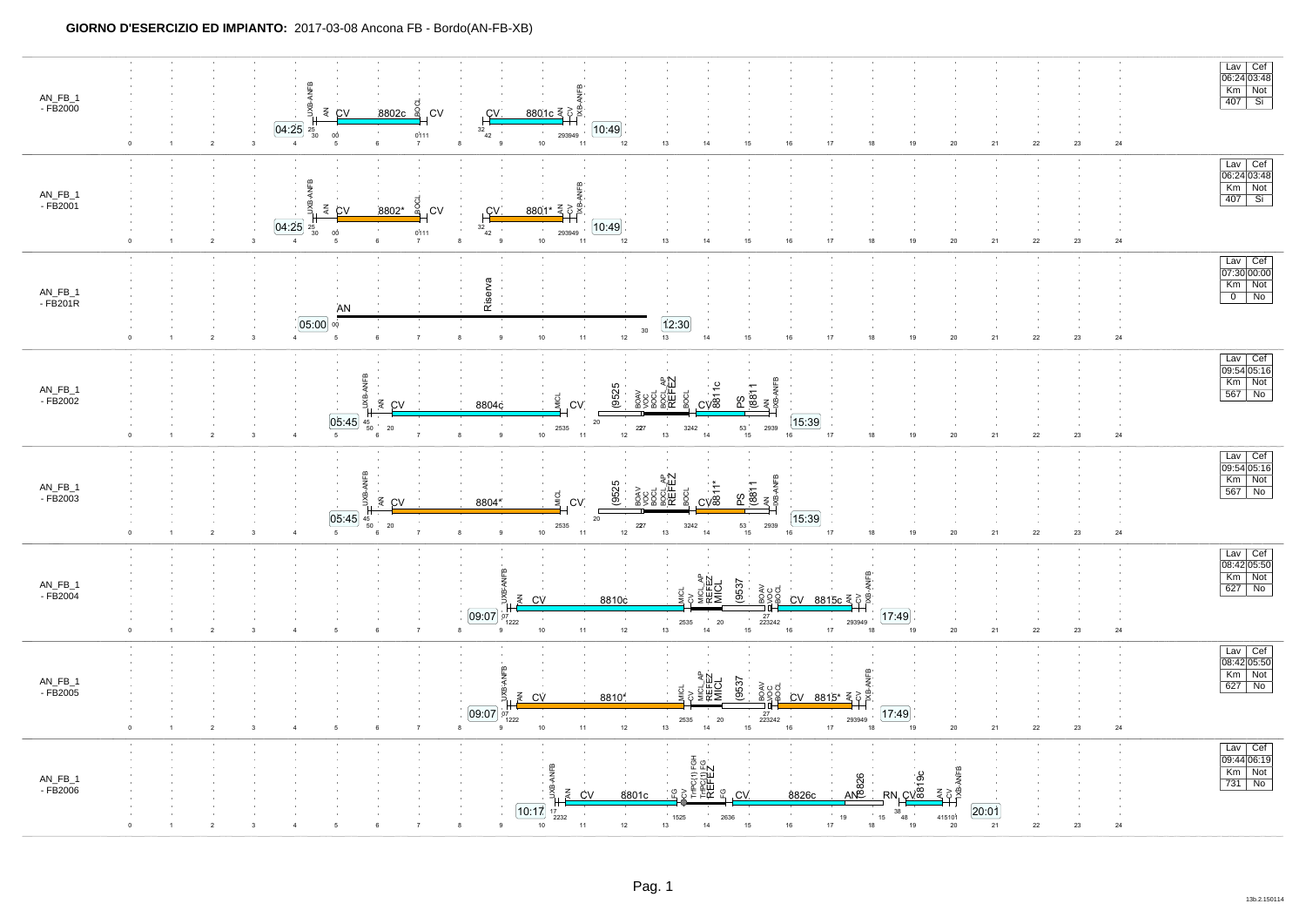| AN_FB_1<br>- FB2000             | $\overline{2}$   | $8802c$ $\frac{5}{9}$<br>$\leq$ CV<br>.CV<br>[04:25]<br>$\frac{25}{30}$<br>0Ò<br>0111<br>$\overline{\mathbf{3}}$<br>$\overline{4}$<br>7                                       | <u>8801c 록</u> c 로<br>CV.<br>[10:49]<br>32<br>293949<br>42<br>$10\,$<br>11<br>12<br>13<br>14<br>15<br>16<br>17<br>18<br>19<br>21<br>22<br>23<br>${\bf 24}$<br>8<br>9<br>$20\,$                                                                                                                                                                                                                                          | Lav Cef<br>06:24 03:48<br>Km Not<br>407 Si                                                                              |
|---------------------------------|------------------|-------------------------------------------------------------------------------------------------------------------------------------------------------------------------------|-------------------------------------------------------------------------------------------------------------------------------------------------------------------------------------------------------------------------------------------------------------------------------------------------------------------------------------------------------------------------------------------------------------------------|-------------------------------------------------------------------------------------------------------------------------|
| $AN_FB_1$<br>$-FB2001$          | $\overline{2}$   | <b>NFR</b><br>BOCL<br>$\frac{2}{5}$ CV<br>8802*<br>.CV<br>[04:25]<br>$\substack{25 \\ 30}$<br>0111<br>0Ò<br>$\overline{\mathbf{3}}$<br>$\overline{4}$<br>-6<br>$\overline{7}$ | ANFB<br>_8801* 록호 <sup>.</sup><br>C <sub>1</sub><br>[10:49]<br>$32_{42}$<br>293949<br>10<br>$13$<br>14<br>15<br>16<br>17<br>18<br>19<br>24<br>11<br>12<br>20<br>21<br>22<br>23<br>8                                                                                                                                                                                                                                     | Lav Cef<br>06:24 03:48<br>Km Not<br>$\frac{100}{407}$ Si                                                                |
| $AN_FB_1$<br>$-FB201R$          | $\overline{2}$   | AN<br>$05:00$ %<br>$\overline{7}$<br>$\overline{4}$<br>5<br>6                                                                                                                 | Riserva<br>12:30<br>30<br>$10\,$<br>$11\,$<br>$12\,$<br>$13\,$<br>$\,$ 9<br>$15\,$<br>$17\,$<br>24<br>$^{\rm 8}$<br>14<br>16<br>18<br>$19$<br>$20\,$<br>${\bf 21}$<br>$22\,$<br>23                                                                                                                                                                                                                                      | Lav Cef<br>07:30 00:00<br>Km Not<br>$\overline{0}$ No                                                                   |
| AN_FB_1<br>$-FB2002$            | $\overline{2}$   | ANFB<br>g<br>$\leq$ CV<br>[05:45]<br>$^{45}_{\ 50}$<br>$20\,$<br>$5\phantom{.0}$<br>$\overline{7}$<br>$\overline{\mathbf{3}}$                                                 | ROAV<br><b>SOOL AP</b><br>REFEZ<br>REFEZ<br>$\frac{PS}{(8811)}$<br>$rac{1}{\cos \theta}$<br>(9525<br><b>MICL</b><br>8804c<br>CV.<br>[15:39]<br>$20\,$<br>$\sim$<br>2939<br>2535<br>227<br>3242<br>$\begin{array}{c} 53 \\ 15 \end{array}$<br>$13\,$<br>$\,$ 9<br>$10$<br>11<br>$12\,$<br>$18\,$<br>$\bf{24}$<br>14<br>16<br>17<br>19<br>$20\,$<br>21<br>22<br>23<br>8                                                   | Lav Cef<br>09:54 05:16<br>Km Not<br>567 No                                                                              |
| AN_FB_1<br>- FB2003             | $\boldsymbol{2}$ | <b>NFB</b><br>ЭŚ<br>$\overline{z}$ CV<br>05:45<br>$\substack{45 \ 50}$<br>${\bf 20}$<br>$\overline{7}$<br>$5\overline{5}$<br>$\overline{4}$<br>6                              | BOCL AP<br>REFEZ<br>-ANFB<br>(9525<br>PS<br>(8811<br>AN ANFI<br>348-ANFI<br>$\overline{\text{cm}}$<br>CV.<br>8804*<br>15:39<br>20<br>$\begin{array}{c} 53 \\ 15 \end{array}$<br>2535<br>227<br>2939<br>3242<br>$13\,$<br>10<br>$12\,$<br>9<br>11<br>14<br>16<br>17<br>$18\,$<br>$19$<br>$\bf 22$<br>$23\,$<br>24<br>8<br>$20\,$<br>21                                                                                   | $\frac{Law}{09:54 05:16}$<br>$Km$ Not<br>$567$ No                                                                       |
| AN_FB_1<br>- FB2004<br>$\Omega$ | $\overline{2}$   | $\overline{7}$<br>$\mathbf{3}$<br>6                                                                                                                                           | $\mathbf{a}$<br>ANFB<br>₽<br>(9537)<br>९<br>अ≣ा<br>अध्य<br>a<br>Soci<br>ΧB<br>$CV$ 8815 $c \leq \delta$<br>$\leq$ CV<br>8810c<br>[09:07]<br>[17:49]<br>27<br>223242<br>07<br>$20\,$<br>293949<br>2535<br>1222<br>14<br>17<br>10<br>$11$<br>$12\,$<br>$13\,$<br>15<br>16<br>18<br>$\mathbf{21}$<br>$24\,$<br>19<br>$20\,$<br>${\bf 22}$<br>$23\,$<br>8<br>$\mathbf{Q}$                                                   | $\begin{array}{ c c } \hline \text{Lav} & \text{Cef} \\ \hline 08:42 & 05:50 \\ \hline \end{array}$<br>Km Not<br>627 No |
| AN_FB_1<br>- FB2005             | $\sqrt{2}$       | $\overline{7}$<br>3<br>$\overline{a}$<br>6                                                                                                                                    | (9537<br>S ≦RE<br>S ≋RE<br>a<br>Soci<br>$\leq$ CV<br>$CV 8815* \leq \frac{3}{5}$<br>8810*<br>[09:07]<br>17:49<br>$\frac{27}{223242}$<br>$^{07}_{1222}$<br>20<br>293949<br>2535<br>$10$<br>$11$<br>14<br>$15\,$<br>16<br>17<br>$\bf 22$<br>$24\,$<br>8<br>$12\,$<br>$13\,$<br>18<br>19<br>$20\,$<br>21<br>$23\,$<br>$\mathbf{Q}$                                                                                         | Lav Cef<br>08:42 05:50<br>Km Not<br>627 No                                                                              |
| AN_FB_1<br>- FB2006             | $\overline{2}$   |                                                                                                                                                                               | TriPO(1) FGH<br>TriPO(1) FG<br>REFEZ<br>ANFB<br>$\frac{8}{2}$<br><b>AN826</b><br>Щ.<br>$R N \frac{CV^2}{I}$<br>₹ç<br>¶<br>줒<br>£ ৪<br>운<br>8826c<br>CV<br>8801c<br>.CV<br>20:01<br>[10:17]<br>38<br>$\sim$<br>$\sim 10$<br>$^{\circ}$ 15<br>1525<br>2636<br>$19\,$<br>415101<br>2232<br>$^{10}$ 48<br>$\mathbf{9}$<br>10<br>11<br>$12\,$<br>14<br>15<br>16<br>17<br>18<br>21<br>$22\,$<br>$23\,$<br>24<br>13<br>8<br>20 | Lav   Cef<br>$\overline{09:44 06:19}$<br>Km Not<br>731 No                                                               |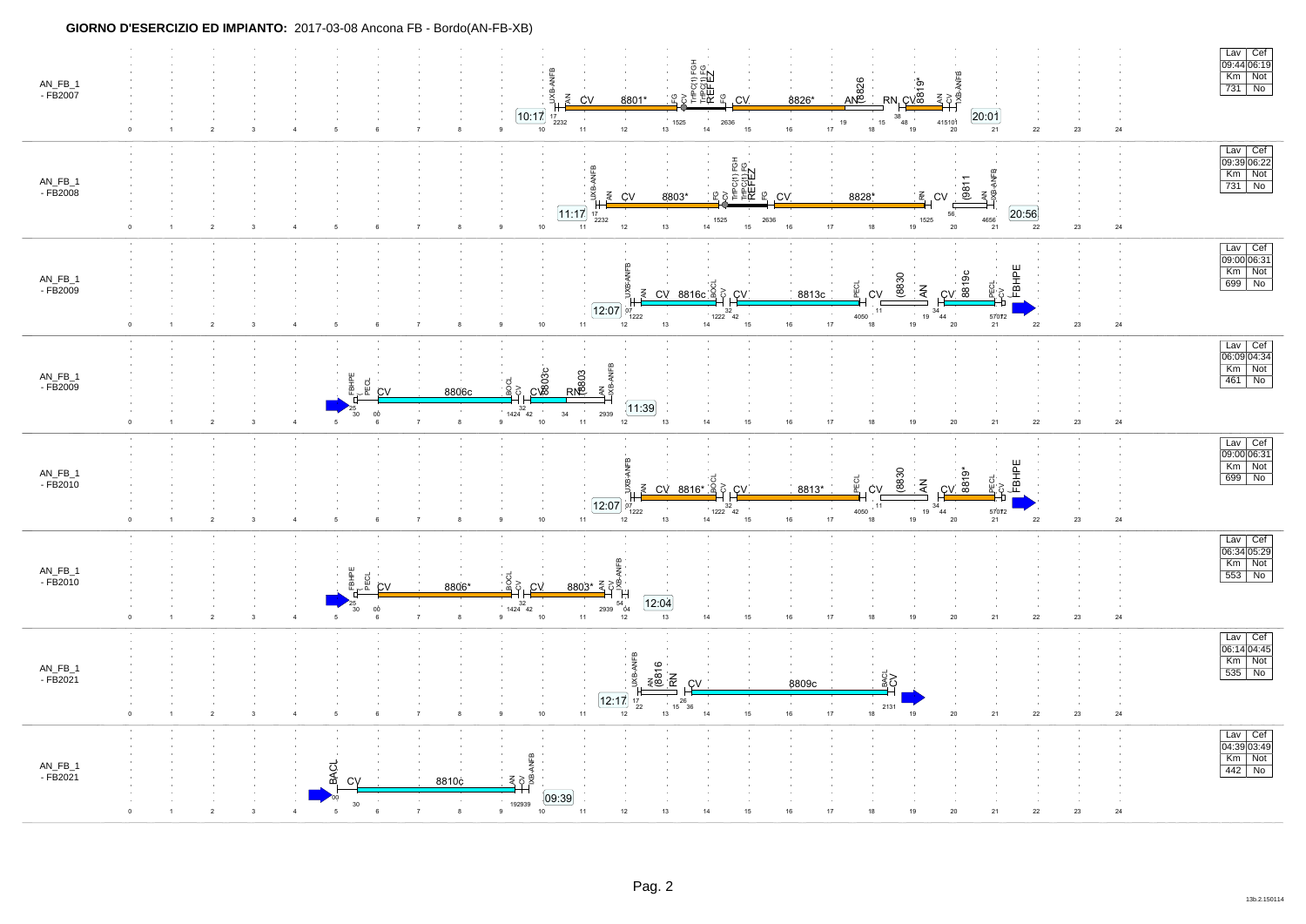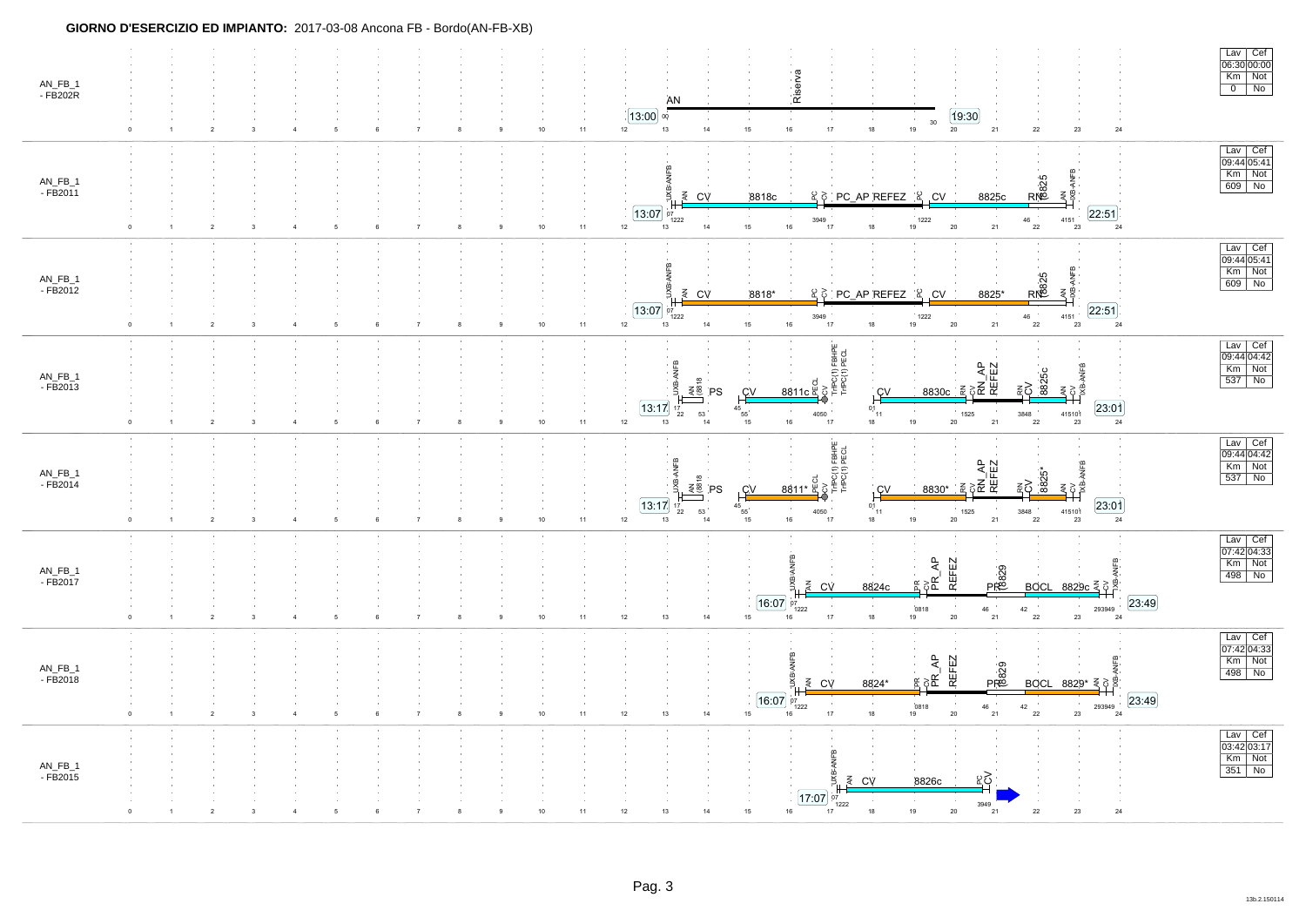| AN_FB_1<br>- FB202R |             | $\overline{2}$<br>3                       | $\overline{4}$                   | 5 | 6 |                | 8 | $10\,$<br>$11$   | Riserva<br>AN<br>19:30<br>[13:00]<br>00<br>30<br>$16\,$<br>$18\,$<br>19<br>12<br>$13\,$<br>14<br>15 <sub>15</sub><br>$17\,$<br>$20\,$<br>21<br>22<br>23<br>$24\,$                                                                                                                                                                                                                                                                                 | Lav Cef<br>06:30 00:00<br>Km Not<br>0 No   |
|---------------------|-------------|-------------------------------------------|----------------------------------|---|---|----------------|---|------------------|---------------------------------------------------------------------------------------------------------------------------------------------------------------------------------------------------------------------------------------------------------------------------------------------------------------------------------------------------------------------------------------------------------------------------------------------------|--------------------------------------------|
| AN_FB_1<br>- FB2011 | $\circ$     | $\overline{2}$<br>$\overline{\mathbf{3}}$ | $\overline{4}$                   |   |   |                |   | $11\,$<br>10     | ANFB<br>RN25<br>¥<br>UXB-<br>₹.<br>₹<br>₹ CV<br>요ㅎ PC_AP REFEZ 요 CV<br>8818c<br>8825c<br>$13:07$ $^{11}_{97}$<br>[22:51]<br>$\begin{array}{c} 4151 \\ 23 \end{array}$<br>3949<br>1222<br>46<br>1222<br>21<br>14<br>15<br>16<br>$20\,$<br>22<br>12<br>13<br>$17$<br>$18\,$<br>$19\,$<br>24                                                                                                                                                         | Lav Cef<br>09:44 05:41<br>Km Not<br>609 No |
| AN_FB_1<br>- FB2012 |             |                                           |                                  | 5 | 6 |                |   | 11<br>10         | ANFB<br>RN25<br>B.<br>łXB-<br>요ㅎ PC_AP REFEZ   요 CV<br>₹ CV<br>₹<br>8818*<br>8825*<br>[22:51]<br>$\overline{13:07}$ $\sigma$ <sub>1222</sub><br>4151<br>3949<br>1222<br>46<br>15<br>12<br>$13$<br>14<br>16<br>17<br>$18\,$<br>19<br>$20\,$<br>21<br>22<br>23<br>$24\,$                                                                                                                                                                            | Lav Cef<br>09:44 05:41<br>Km Not<br>609 No |
| AN_FB_1<br>- FB2013 | $\Omega$    | $\overline{2}$                            | $\overline{3}$<br>$\overline{4}$ | 5 | 6 |                | 8 | 11<br>$10\,$     | TriPC(1) FBHPE<br>TriPC(1) PECL<br>JXB-ANFB<br>CV<br>RN_AP<br>REFEZ<br>ANFB<br>8825<br>$\overline{8}$<br>౾ర<br>$\xi_{82}$<br>8811c<br>줖<br>PS<br><b>CV</b><br><u>i cv</u><br>8830c<br>23:01<br>13:17<br>01<br>45<br>$\sim$<br>415101<br>53<br>1525<br>55<br>4050<br>3848<br>22<br>11<br>24<br>$12 \overline{ }$<br>18<br>19<br>21<br>$16\,$<br>$20\,$<br>13<br>15<br>$17\,$<br>22<br>23<br>14                                                     | Lav Cef<br>09:44 04:42<br>Km Not<br>537 No |
| AN_FB_1<br>- FB2014 | 0           | $\overline{2}$<br>$\overline{\mathbf{3}}$ |                                  | 5 |   |                |   | 11<br>10         | TriPQ(1) FBHPE<br>TriPQ(1) PECL<br>ANFB<br><sub>CV</sub><br>RN_AP<br>REFEZ<br>$rac{1}{8811*}$<br>882<br>≩ຸ<br>≩ ≌<br>하<br>줖<br>PS<br>C <sub>V</sub><br>$\frac{CV}{1}$<br>8830*<br>$\frac{23:01}{24}$<br>13:17<br>$0,1$ <sub>11</sub><br>$^{45}$ 55<br>53<br>4050<br>1525<br>3848<br>$\begin{array}{r} 41510 \textcolor{red}{\mathfrak{f}} \\ 23 \end{array}$<br>$_{22}$<br>16<br>19<br>21<br>12<br>$13$<br>15<br>$17$<br>18<br>$20\,$<br>22<br>14 | Lav Cef<br>09:44 04:42<br>Km Not<br>537 No |
| AN_FB_1<br>- FB2017 | $\Omega$    | $\overline{2}$                            | 3<br>$\Delta$                    | 5 | 6 | $\overline{7}$ | 8 | $11\,$<br>$10\,$ | ANFB<br><b>REFEZ</b><br>$\overline{A}$<br>ANFB<br>PR829<br>jХВ.<br>$\mathbb{E} \, \delta \mathbb{E}$<br>$8829c \leq 88$<br>$\leq$ CV<br>8824c<br><b>BOCL</b><br>23:49<br>16:07<br>07<br>$42\,$<br>$\begin{array}{c} 293949 \\ 24 \end{array}$<br>0818<br>1222<br>46<br>$14\,$<br>$17\,$<br>$18\,$<br>21<br>22<br>23<br>12<br>13<br>15 <sub>15</sub><br>$20\,$<br>$16\,$<br>19                                                                     | Lav Cef<br>07:42 04:33<br>Km Not<br>498 No |
| AN_FB_1<br>- FB2018 | $\mathbf 0$ | $\overline{2}$                            | $\overline{3}$<br>$\overline{4}$ | 5 | 6 |                | 8 | $10\,$<br>11     | ANFB<br>REFEZ<br>ANFB<br>$\overline{a}$<br>PR829<br>$\mathbb{R} \geqslant \mathbb{R}$<br>lXB<br>₹<br>8824*<br>CV<br>BOCL 8829* $\xi$ $\circ$<br>23:49<br>16:07<br>$^{07}_{1222}$<br>$\sim$<br>0818<br>$42\,$<br>293949<br>46<br>14<br>$17\,$<br>22<br>12<br>13<br>15<br>16<br>18<br>19<br>$20\,$<br>21<br>23<br>24                                                                                                                                | Lav Cef<br>07:42 04:33<br>Km Not<br>498 No |
| AN_FB_1<br>- FB2015 |             | $\overline{2}$                            |                                  |   |   |                |   | 11               | ANFB<br>ğ<br>ୁ≿<br>₹ CV<br>8826c<br>17:07 07<br>1222<br>3949<br>15<br>$18\,$<br>19<br>$23\,$<br>24<br>13<br>14<br>16<br>$20\,$<br>21<br>22<br>12<br>17                                                                                                                                                                                                                                                                                            | Lav Cef<br>03:42 03:17<br><b>Km</b> Not    |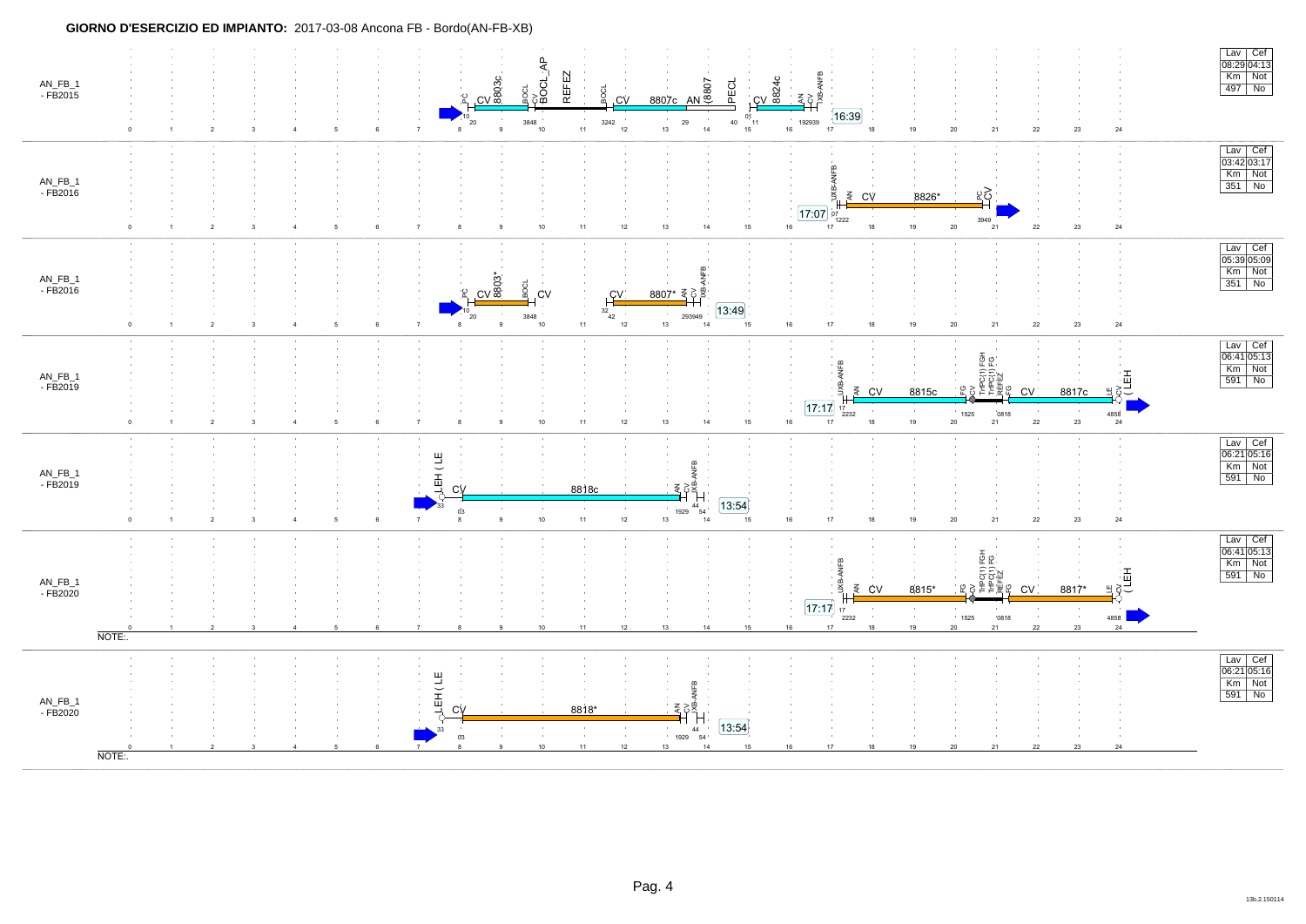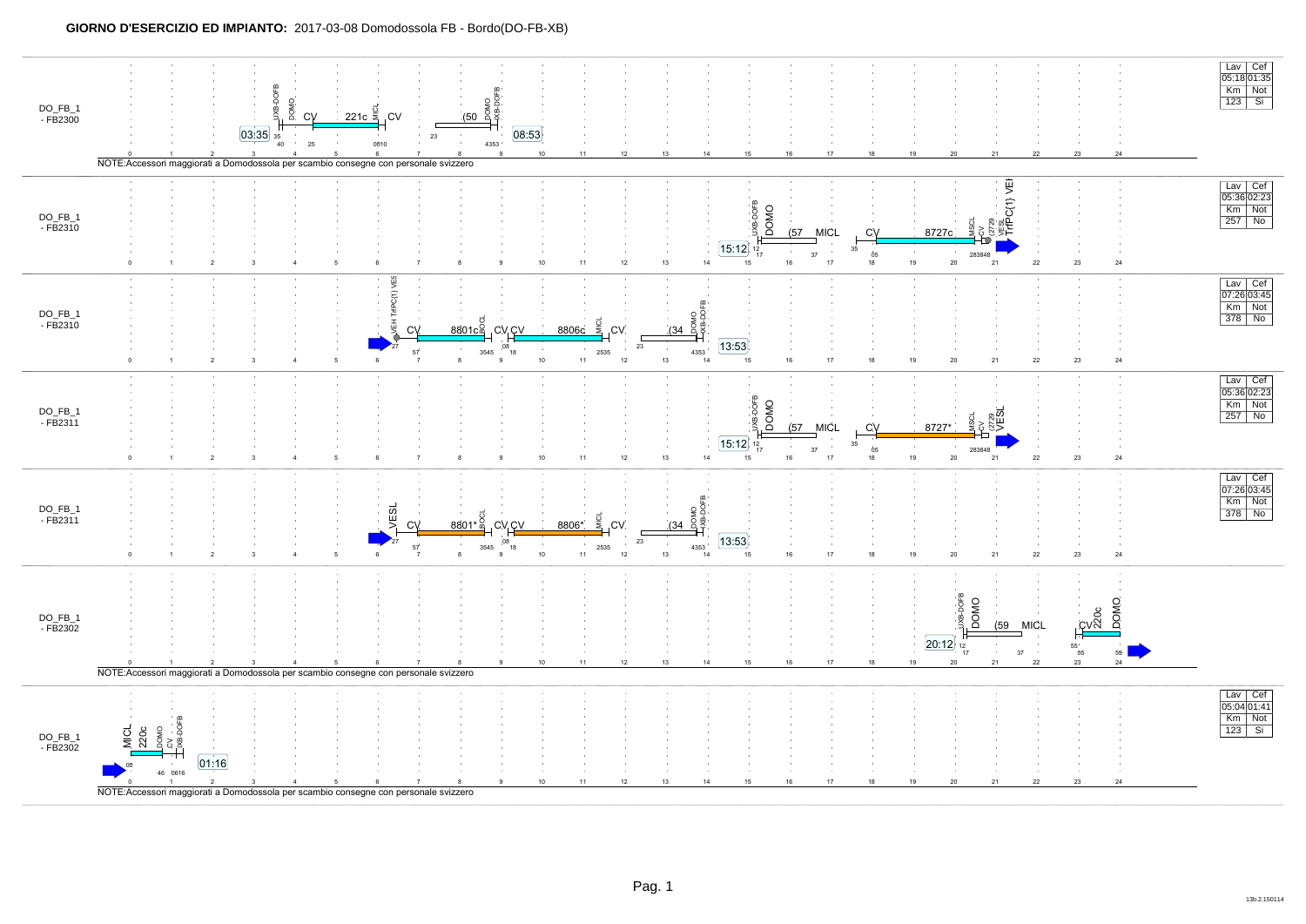#### **GIORNO D'ESERCIZIO ED IMPIANTO:** 2017-03-08 Domodossola FB - Bordo(DO-FB-XB)

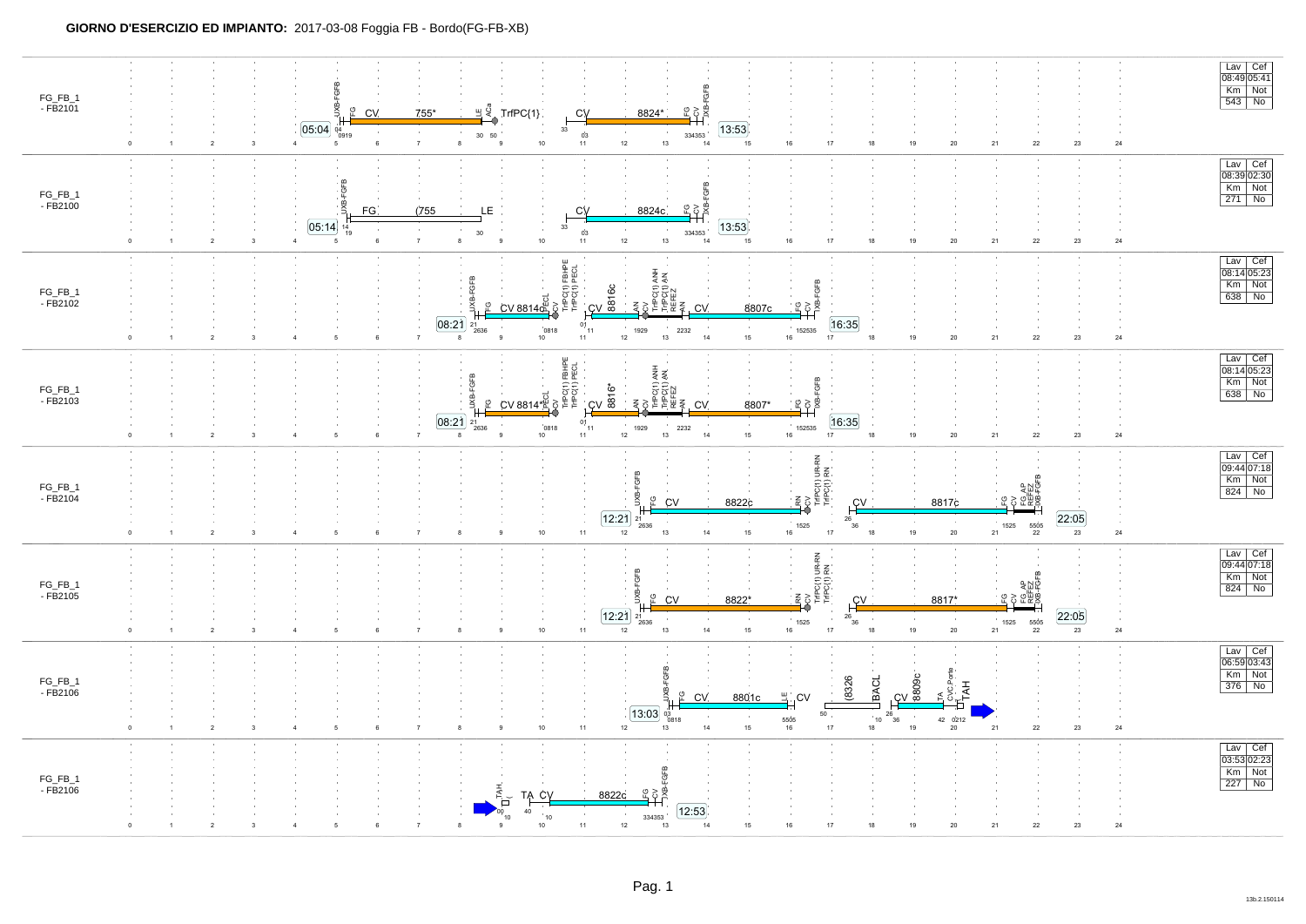| FG_FB_1<br>$-FB2101$                       | $\overline{2}$<br>$\mathbf{3}$                             | ပို့<br>CV.<br>[05:04]<br>04<br>0919<br>$\overline{4}$<br>5<br>6 | 755*<br>$\overline{7}$<br>8                         | $\mathbb{H} \stackrel{\sigma}{\curvearrowleft} \mathsf{TrfPC} \{1\}$<br>33<br>$30\quad 50$<br>$10\,$<br>$\mathsf g$ | CV<br>8824*<br>$\begin{array}{c} 03 \\ 11 \end{array}$<br>$12\,$                 | FGFB<br>혹 5 원<br>13:53<br>334353<br>13<br>14                                                                         | 16<br>17<br>15                                                                                     | 18<br>19                                                                   | 21<br>$20\,$                  | ${\bf 22}$                                               | 23<br>${\bf 24}$                | $\begin{array}{ c c } \hline \text{Lav} & \text{Cef} \\ \hline 08:49 & 05:41 \\ \hline \end{array}$<br>$Km$ Not<br>$543$ No |
|--------------------------------------------|------------------------------------------------------------|------------------------------------------------------------------|-----------------------------------------------------|---------------------------------------------------------------------------------------------------------------------|----------------------------------------------------------------------------------|----------------------------------------------------------------------------------------------------------------------|----------------------------------------------------------------------------------------------------|----------------------------------------------------------------------------|-------------------------------|----------------------------------------------------------|---------------------------------|-----------------------------------------------------------------------------------------------------------------------------|
| FG_FB_1<br>$-FB2100$                       | $\overline{2}$<br>$\overline{\mathbf{3}}$<br>$\Omega$      | IXB-FGFB<br>FG.<br>05:14<br>14<br>19<br>$\overline{4}$<br>5<br>6 | (755)<br>30<br>$\overline{7}$<br>8                  | LE<br>33<br>$\mathbf{q}$<br>$10\,$                                                                                  | CV<br>8824c<br>$\frac{03}{11}$<br>$12\,$                                         | $\begin{array}{c}\n\text{Lc} \\ \text{C} \\ \text{C} \\ \text{NBE-IGFB}\n\end{array}$<br>13:53<br>334353<br>13<br>14 | 15<br>16<br>17                                                                                     | 18<br>19                                                                   | 20                            | 21<br>22                                                 | $23\,$<br>24                    | Lav Cef<br>08:39 02:30<br>Km Not<br>271 No                                                                                  |
| FG_FB_1<br>$-F\overline{B}21\overline{0}2$ |                                                            | 5<br>$\,6\,$                                                     | GFB<br>[08:21]<br>21<br>$\overline{7}$<br>8         | riPC(1) FBHPE<br>riPC(1) PECL<br>ပ္ပ<br>CV 8814d<br>0818<br>2636<br>10 <sup>7</sup><br>$\alpha$                     | ୪<br>88<br><b>CV</b><br>$^{1}_{0,1}$ <sub>11</sub><br>1929<br>$12\,$<br>$11$     | C(1) ANH<br>C(1) AN<br>$\mathcal{C}$<br>2232<br>13<br>14                                                             | FGFB<br>오히<br>8807c<br><b>COL</b><br>152535<br>17<br>15<br>16                                      | 16:35<br>18<br>$19$                                                        | ${\bf 21}$<br>$20\,$          | $\bf 22$                                                 | $23\,$<br>$24\,$                | Lav Cef<br>08:14 05:23<br>Km Not<br>638 No                                                                                  |
| FG_FB_1<br>- FB2103                        | $\overline{1}$<br>$\overline{2}$<br>$\Omega$<br>-3         | $6\phantom{.0}$<br>5                                             | GFB<br>χg<br>[08:21]<br>2636<br>8<br>$\overline{7}$ | FBHPE<br>PECL<br>10241<br>ಕ<br>O<br>CV 8814*<br>0818<br>10                                                          | ڠ<br>$cv \overset{io}{\approx}$<br>0 <sub>1</sub><br>1929<br>ำ11<br>$12\,$<br>11 | ¥ ≸<br>ggr<br>튼 푼 줒<br>CV<br>2232<br>$13$<br>14                                                                      | FGFB<br><u>"Lo gi</u><br>8807*<br>152535<br>15<br>16                                               | 16:35<br>17<br>19<br>18                                                    | $\mathbf{21}$<br>$20\,$       | 22                                                       | $\bf{24}$<br>23                 | Lav   Cef<br>08:14 05:23<br>Km Not<br>638 No                                                                                |
| FG_FB_1<br>- FB2104                        | $\overline{2}$                                             |                                                                  |                                                     | $10$                                                                                                                | ë<br>ਨੌ<br>ပူ<br>[12:21]<br>21<br>2636<br>11<br>12                               | CV<br>$13\,$<br>14                                                                                                   | <br>  RN<br>  TriPC(1) UR-RN<br>  TriPC(1) RN<br>8822c<br>1525<br>$17\,$<br>15 <sub>15</sub><br>16 | $E^{\vee}$<br>$^{26}_{36}$<br>$18\,$<br>$19$                               | 8817c<br>$20\,$               | FG AP<br>REFEZ<br>XB-FG<br>ద<br>1525<br>5505<br>21<br>22 | [22:05]<br>23<br>$24\,$         | $\frac{Law}{09:44 07:18}$<br>Km Not<br>$824$ No                                                                             |
| FG_FB_1<br>- FB2105                        | $\overline{2}$<br>$\Omega$<br>$\mathbf{1}$<br>$\mathbf{3}$ | -5<br>6                                                          | $\overline{7}$<br>8                                 | $10\,$<br>$\mathbf{Q}$                                                                                              | m<br>똥<br>g<br>운<br>$\boxed{12.21}$<br>21<br>2636<br>11<br>$12\,$                | CV<br>8822*<br>$13\,$<br>14                                                                                          | RN<br>DCV<br>TriPC(1) UR-RN<br>TriPC(1) RN<br>О<br>1525<br>$17$<br>$15\,$<br>16                    | $\frac{CV}{1}$<br>26<br>36<br>${\bf 18}$<br>$19$                           | 8817*<br>$20\,$               | 한 모음<br>오늘 주<br>오 주 있<br>1525<br>5505<br>22<br>$21\,$    | $\boxed{22.05}$<br>23<br>$24\,$ | $\frac{Law}{09:44 07:18}$<br>Km Not<br>$824$ No                                                                             |
| FG_FB_1<br>$-$ FB2106                      | $\sqrt{2}$<br>0<br>$\mathbf{1}$<br>3                       | 5<br>6                                                           |                                                     | $10\,$                                                                                                              | $\boxed{13.03}$ $\frac{03}{0818}$<br>$11\,$<br>$12\,$                            | ್ರ<br>CV.<br><b>COL</b><br>14<br>$13$                                                                                | 뿤<br>8801c<br><b>CV</b><br>50<br>$\sim$<br>5505<br>15 <sub>15</sub><br>$17\,$<br>16                | CV 809C<br>(8326<br><b>BACL</b><br>$^{26}$ <sub>36</sub><br>10<br>18<br>19 | H,<br>42 0212<br>21<br>$20\,$ | $22\,$                                                   | $24\,$<br>$23\,$                | Lav Cef<br>06:59 03:43<br>Km Not<br>376 No                                                                                  |
| FG_FB_1<br>- FB2106                        |                                                            |                                                                  |                                                     | EXH.<br>TA CV<br>o<br>40<br>10<br>10                                                                                | 육호원<br>8822c<br>334353<br>12<br>11                                               | FGFB<br>[12:53]<br>14<br>13                                                                                          | 15<br>16<br>17                                                                                     | $18\,$<br>19                                                               | 21<br>20                      | 22                                                       | 23<br>24                        | Lav   Cef<br>$\frac{24}{03:53} 02:23$<br>Km Not<br>$227$ No                                                                 |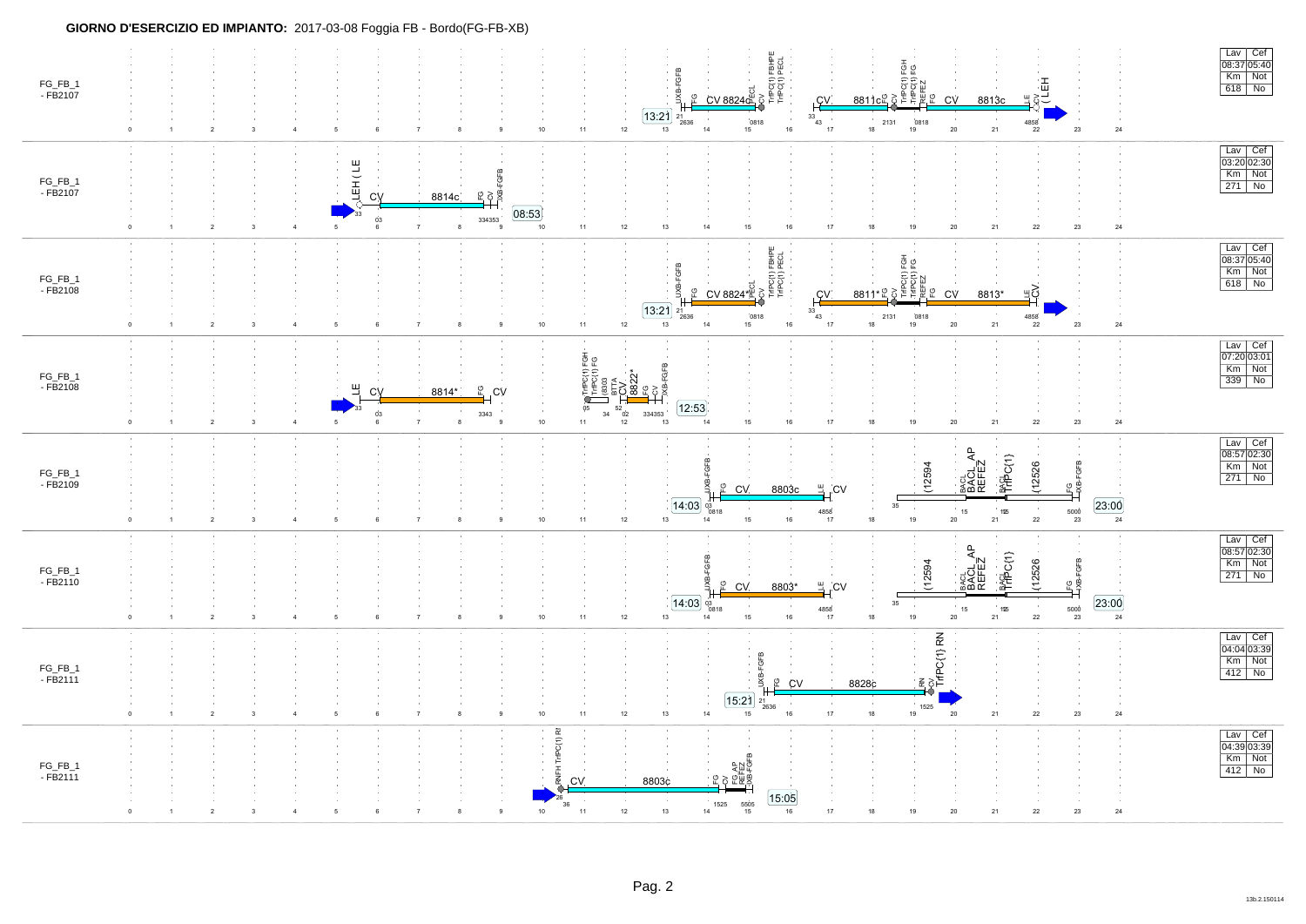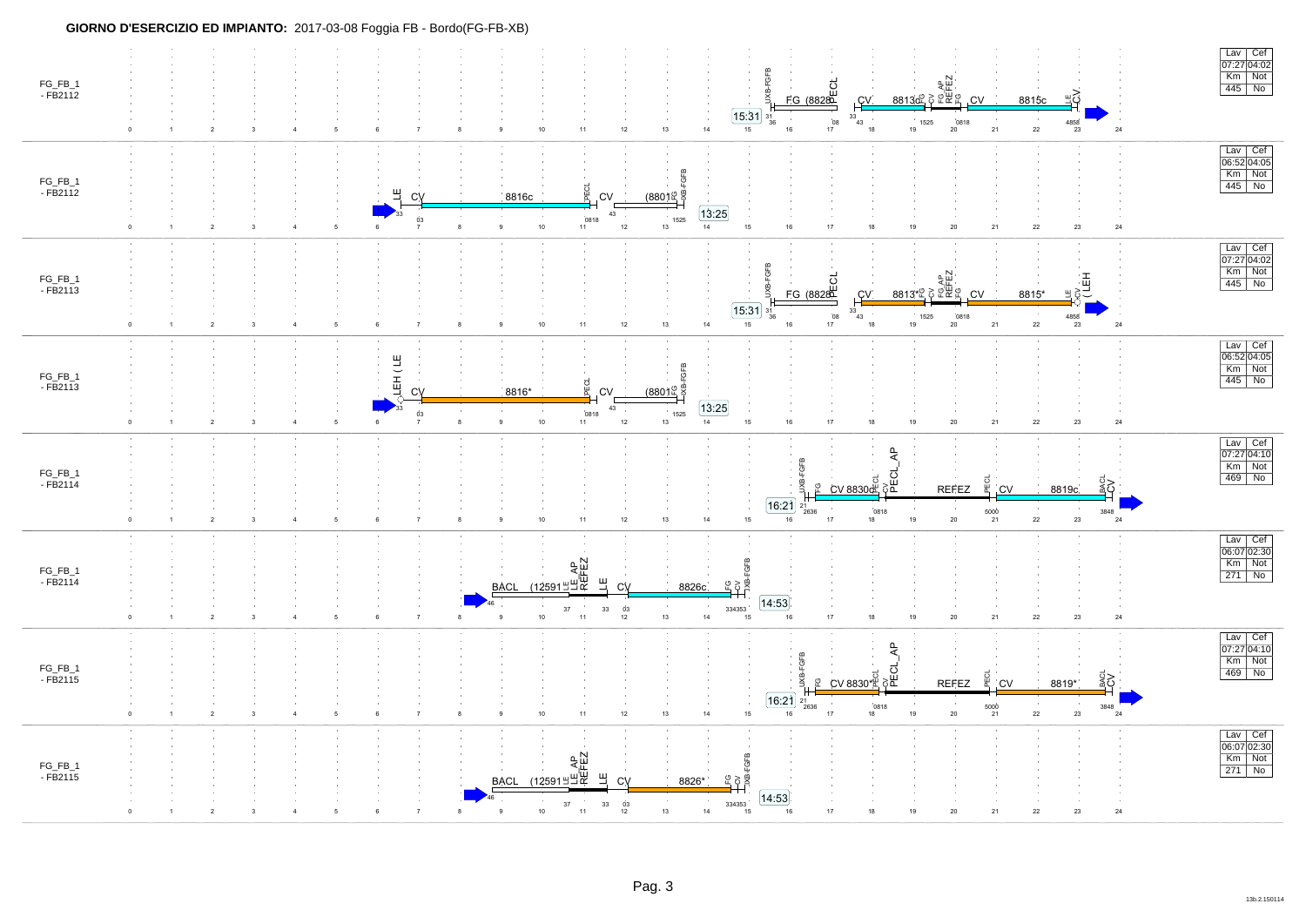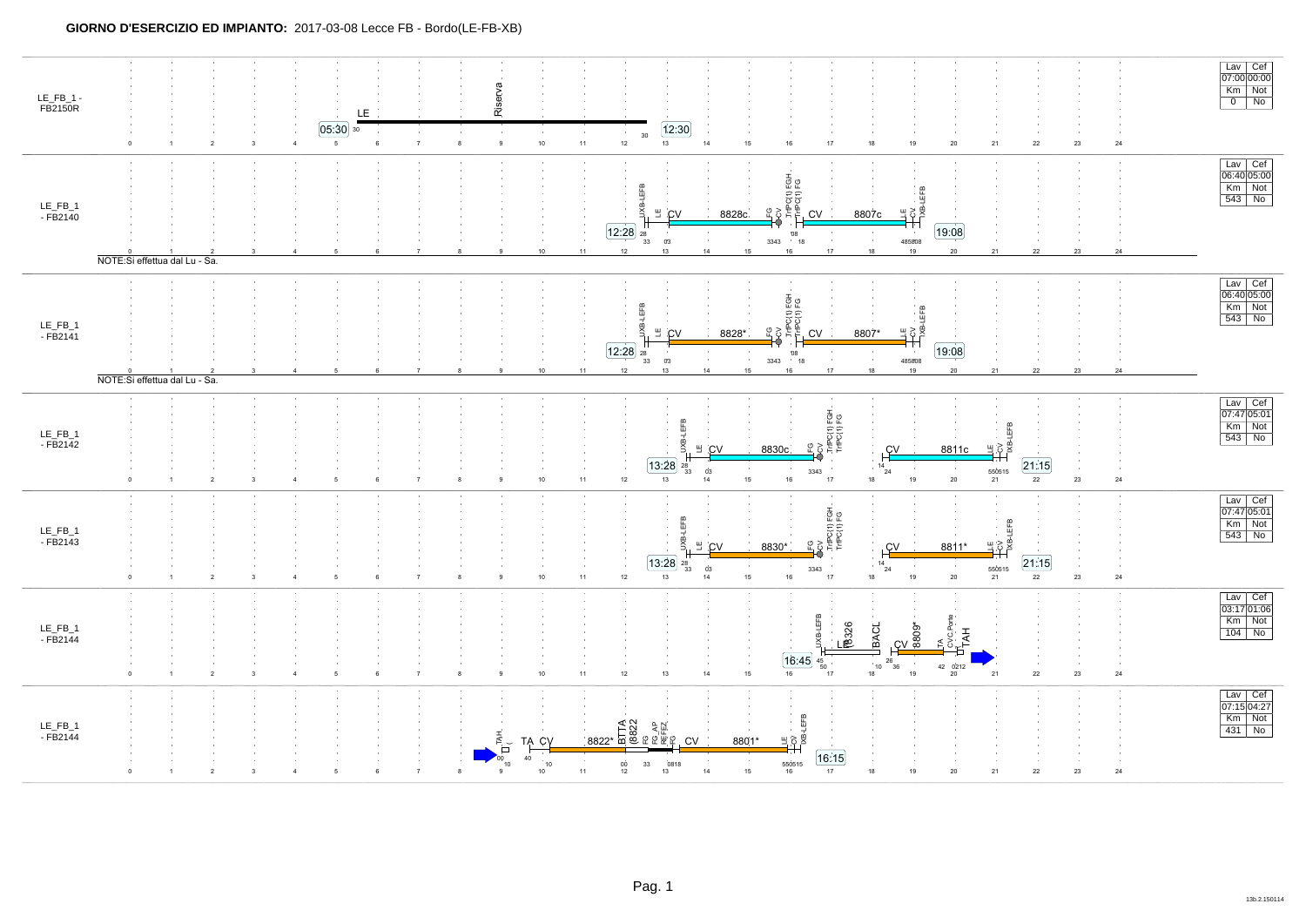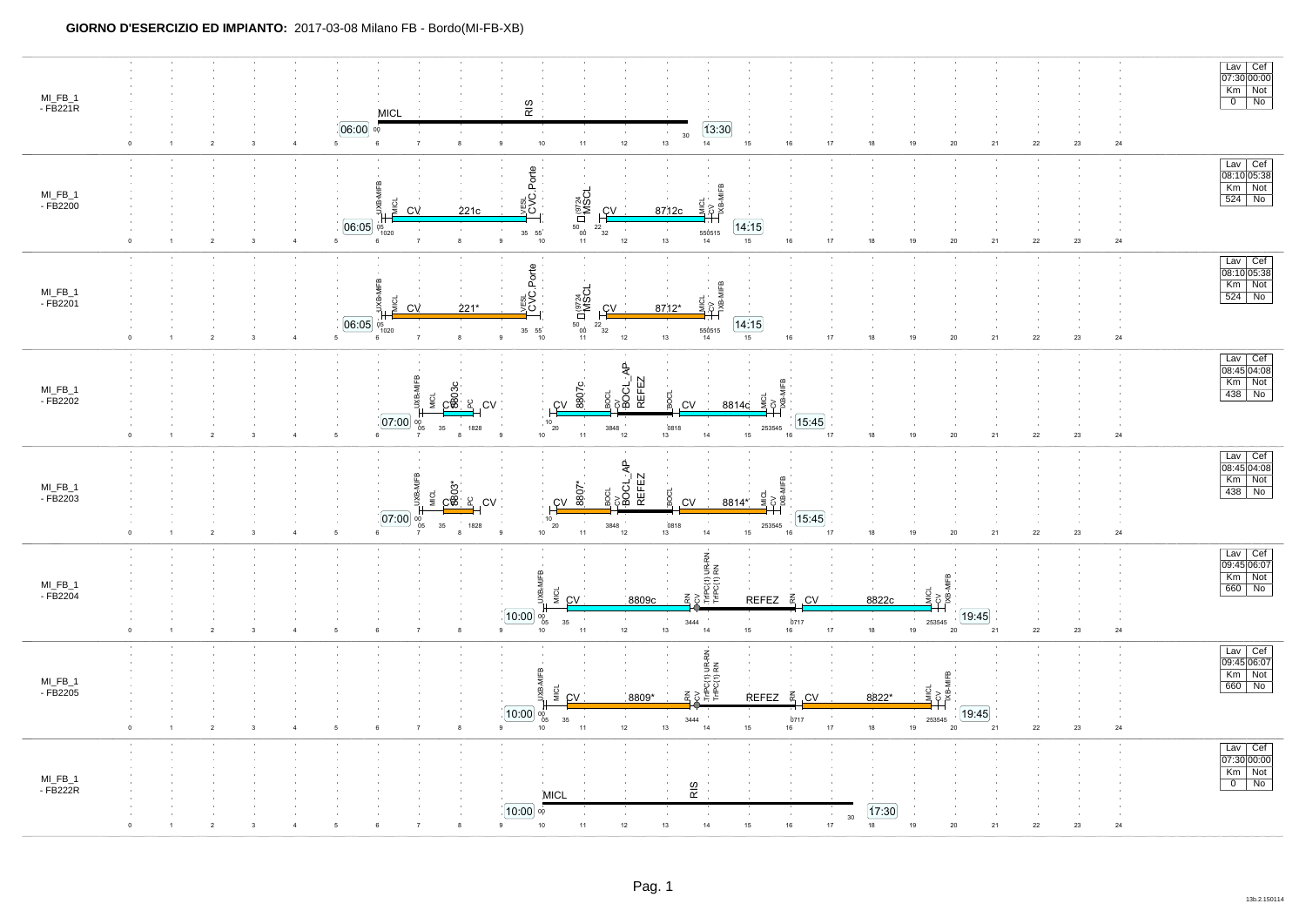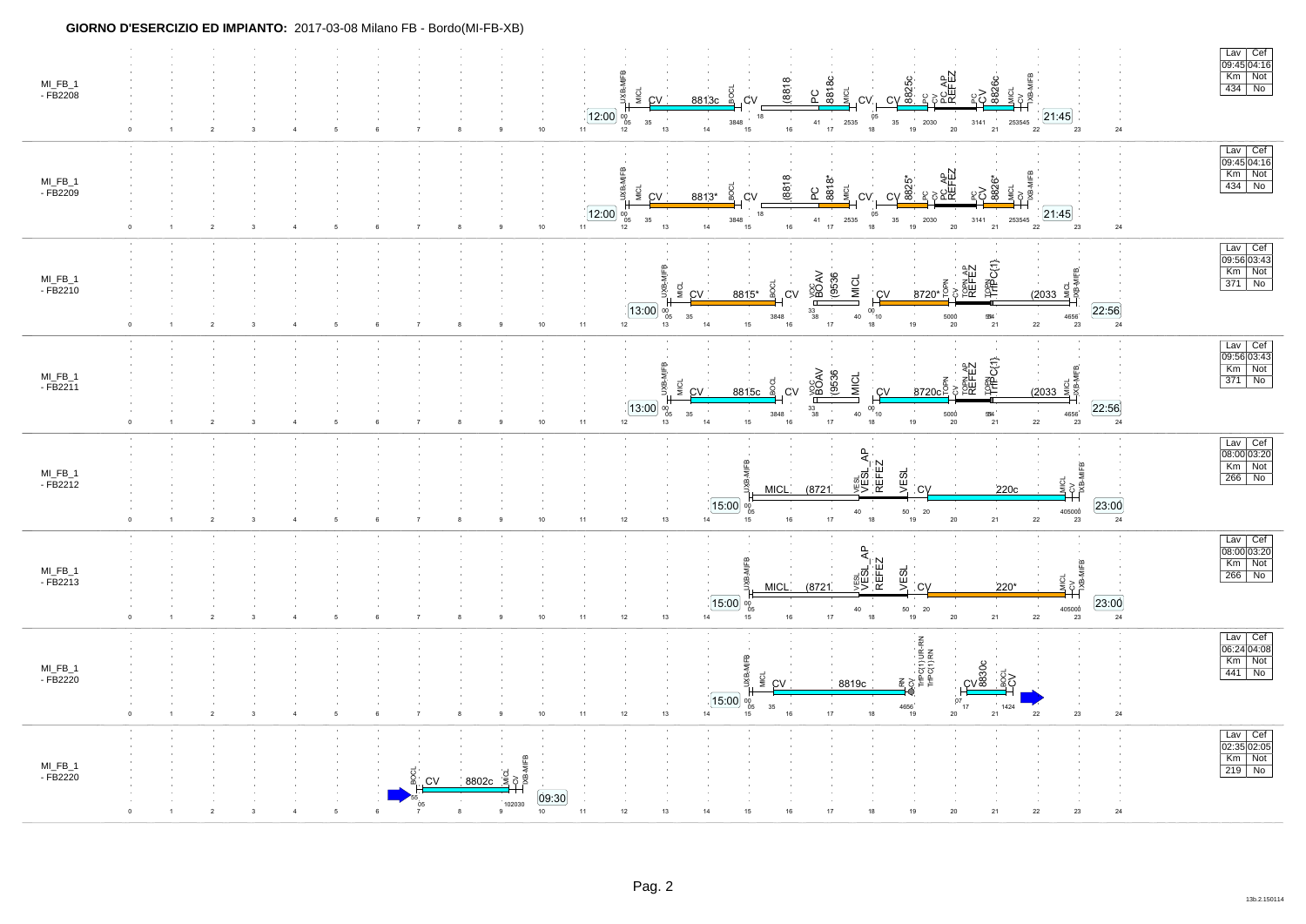| MI_FB_1<br>- FB2208    | $\boldsymbol{2}$<br>$^{\circ}$                  |                         | 5<br>6<br>$\overline{7}$           |                                                              | 12:00<br>10<br>11      | Lav Cef<br>09:45 04:16<br>Km Not<br>)<br>오 <sub>주 AP</sub><br>REFEZ<br>REFEZ<br>PC<br>8818C<br>(8818)<br>$\frac{1}{\sqrt{9}}$<br>$434$ No<br>MICL<br><u>္ဌ</u> ၃ နို့<br>BOCL<br>JХВ-<br>MICL<br>.CV<br>8813c<br>.CV<br>CV<br>21:45<br>05<br>18<br>00<br>05<br>$\sim$<br>2535<br>35<br>253545<br>35<br>3848<br>41<br>2030<br>3141<br>$18$<br>$16\,$<br>$17\,$<br>19<br>$20\degree$<br>14<br>$\mathbf{21}$<br>$\bf{22}$<br>13<br>$\bf 24$<br>12<br>15<br>23                                                                                                                                                                   |
|------------------------|-------------------------------------------------|-------------------------|------------------------------------|--------------------------------------------------------------|------------------------|------------------------------------------------------------------------------------------------------------------------------------------------------------------------------------------------------------------------------------------------------------------------------------------------------------------------------------------------------------------------------------------------------------------------------------------------------------------------------------------------------------------------------------------------------------------------------------------------------------------------------|
| MI_FB_1<br>$-FB2209$   | $\overline{2}$<br>$^{\circ}$                    | $\overline{\mathbf{3}}$ | $\,6\,$<br>$\overline{7}$<br>5     | 8                                                            | [12:00]<br>11<br>10    | Lav Cef<br>09:45 04:16<br>уlFB<br>$Km$ Not<br><sub>CX</sub><br>PCAP<br>REFEZ<br>(8818<br>8818*<br>$CV$ 825<br>$434$ No<br><u>ူ ၃ ဆီ</u><br>MICL<br>eog<br>ŰЖ<br>ဥ<br>일<br>8813*<br>CV<br>CV.<br>CV.<br>21:45<br>18<br>05<br>00<br>05<br>35<br>35<br>3848<br>41<br>2535<br>2030<br>3141<br>253545<br>17<br>13<br>14<br>$16\,$<br>18<br>19<br>20<br>21<br>$\bf{22}$<br>15<br>$23\,$<br>$\bf 24$<br>12                                                                                                                                                                                                                          |
| MI_FB_1<br>$-FB2210$   | $\mathsf 0$<br>$\overline{\mathbf{2}}$          | $\overline{\mathbf{3}}$ |                                    |                                                              | $11$<br>10             | $\begin{array}{ c c } \hline \text{Lav} & \text{Cef} \\ \hline 09:56 & 03:43 \\ \hline \end{array}$<br>FREP C(1)<br>CV<br>TOPN AP<br>REFEZ<br>Km Not<br>Цикоц<br>Дже-мгев.<br><b>HBOAV</b><br>(9536)<br><b>MICL</b><br>$371$ No<br>$8720*$ $\frac{2}{5}$<br>MICL<br>ув<br>ХЕ<br>င္တ<br>(2033)<br>CV<br>C <sub>V</sub><br>C <sup>V</sup><br>8815*<br>$00^{10}$<br>[13:00]<br>[22:56]<br>$\frac{33}{38}$<br>$^{00}_{05}$<br>$\sim 10^{-1}$<br>$40\,$<br>$35\,$<br>$5000 \atop 20$<br>$\mathbb{B}4$<br>$\bf 4656^{^{\prime}}$<br>3848<br>14<br>18<br>19<br>$22\,$<br>$15\,$<br>17<br>$\bf 24$<br>12<br>$16\,$<br>21<br>23<br>13 |
| MI_FB_1<br>- FB2211    | $\mathbf 0$<br>$\overline{2}$<br>$\overline{1}$ | 3                       | $\overline{7}$<br>6<br>- 5         |                                                              | 11<br>10               | Lav Cef<br>09:5603:43<br>IFREPC(1)<br>cy<br>TopMAP<br>REFEZ<br>$Km$ Not<br>$\frac{1}{2033}$<br><b>HBOAV</b><br>(9536<br><b>MICL</b><br>$371$ No<br>줄<br>8720c<br>MICL<br>ŠВ<br>8815c<br>.CV<br><u>cv</u><br>CV<br>13:00<br>[22:56]<br>$\frac{33}{38}$<br>$^{10}_{00}$<br>00<br>05<br>$\sim$<br>534<br>35<br>3848<br>40<br>5000<br>$\frac{4656}{23}$<br>15<br>19<br>$22\,$<br>24<br>12<br>13<br>14<br>$16\,$<br>$17\,$<br>18<br>20<br>21                                                                                                                                                                                      |
| $MI_FB_1$<br>$-FB2212$ | $\overline{2}$<br>$\Omega$                      | $\mathbf{3}$            | $\,6\,$<br>$\scriptstyle{7}$<br>-5 | $\mathbf{a}$                                                 | 10 <sup>10</sup><br>11 | Lav Cef<br>JVESL<br>VESL_AP<br>REFEZ<br>08:00 03:20<br>wiFB<br>Km Not<br><b>VESL</b><br>266 No<br>₿.<br>(8721)<br>$C$ V<br><b>MICL</b><br>220c<br>$15:00$ $\frac{1}{05}$<br>23:00<br>$\begin{array}{c} 405000 \\ 23 \end{array}$<br>$\begin{array}{c} 50 \\ 19 \end{array}$<br>$40\,$<br>20<br>17<br>18<br>$20\,$<br>21<br>12<br>13<br>14<br>$16\,$<br>22<br>24<br>15                                                                                                                                                                                                                                                        |
| MI_FB_1<br>$-FB2213$   | $\mathbf 0$<br>$\sqrt{2}$                       | 3                       | $\overline{7}$                     | 8                                                            | 11<br>10               | Lav Cef<br>08:00 03:20<br>₽,<br>MIFB<br>REFEZ<br>$Km$ Not<br>vesu.<br>VESL.<br><b>VESL</b><br>$266$ No<br>ŠР.<br><b>SEC</b><br>정화<br><b>MICL</b><br>(8721)<br>CV<br>220*<br>[23:00]<br>$15:00$ $^{00}_{05}$<br>50<br>405000<br>40<br>20<br>24<br>$17\,$<br>$18\,$<br>$20\,$<br>21<br>$12 \overline{ }$<br>$13$<br>14<br>15<br>$16\,$<br>19<br>${\bf 22}$<br>23                                                                                                                                                                                                                                                               |
| MI_FB_1<br>$-FB2220$   | $\overline{2}$<br>$\mathbf 0$                   | $\overline{\mathbf{3}}$ | $\overline{7}$<br>5<br>6           |                                                              | 11<br>10               | $\begin{array}{ c c } \hline \text{Lav} & \text{Cef} \\ \hline 06:24 & 04:08 \\ \hline \end{array}$<br>RN<br>DCV<br>TriPC(1) UR-RN<br>TriPC(1) RN<br>$\omega$<br>Km Not<br><u>င်္ဂလ္တွ</u><br>$441$ No<br><b>MICL</b><br>얮<br>8819c<br>CV<br>15:00<br>07<br>$^{00}_{05}$<br>35<br>4656<br>17<br>1424<br>$20\,$<br>$12\,$<br>13<br>$14\,$<br>$17\,$<br>18<br>19<br>21<br>$22\,$<br>$23\,$<br>$\bf 24$<br>15<br>16                                                                                                                                                                                                             |
| MI_FB_1<br>- FB2220    | $\mathfrak{p}$                                  |                         |                                    | $rac{1}{\sqrt{2}}$<br>8802c<br><b>CV</b><br>102030<br>8<br>9 | [09:30]<br>10<br>11    | Lav Cef<br>02:35 02:05<br>Km Not<br>$219$ No<br>$12\,$<br>$15\,$<br>$16\,$<br>17<br>21<br>$\bf 24$<br>13<br>14<br>18<br>19<br>20<br>$22\,$<br>$23\,$                                                                                                                                                                                                                                                                                                                                                                                                                                                                         |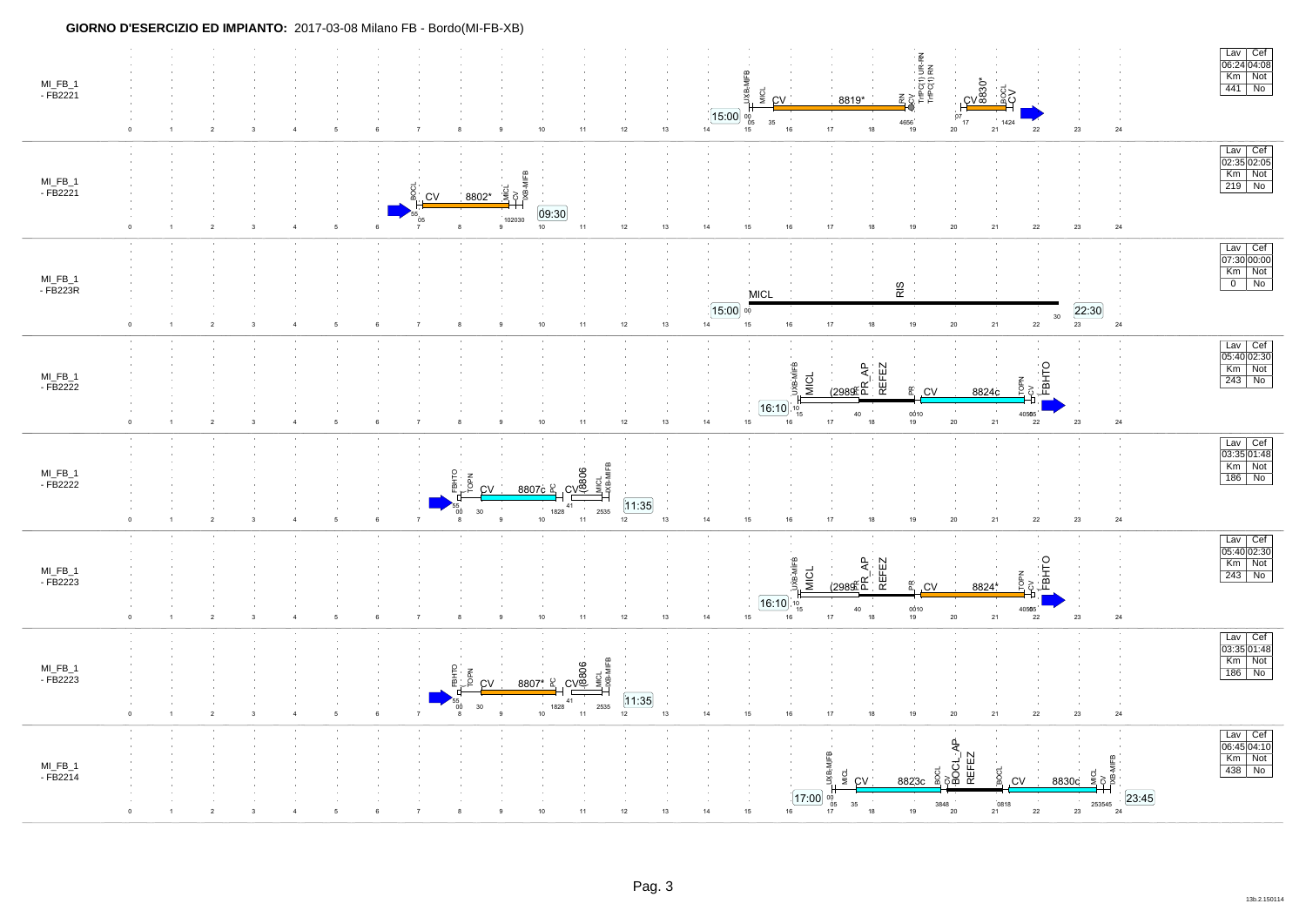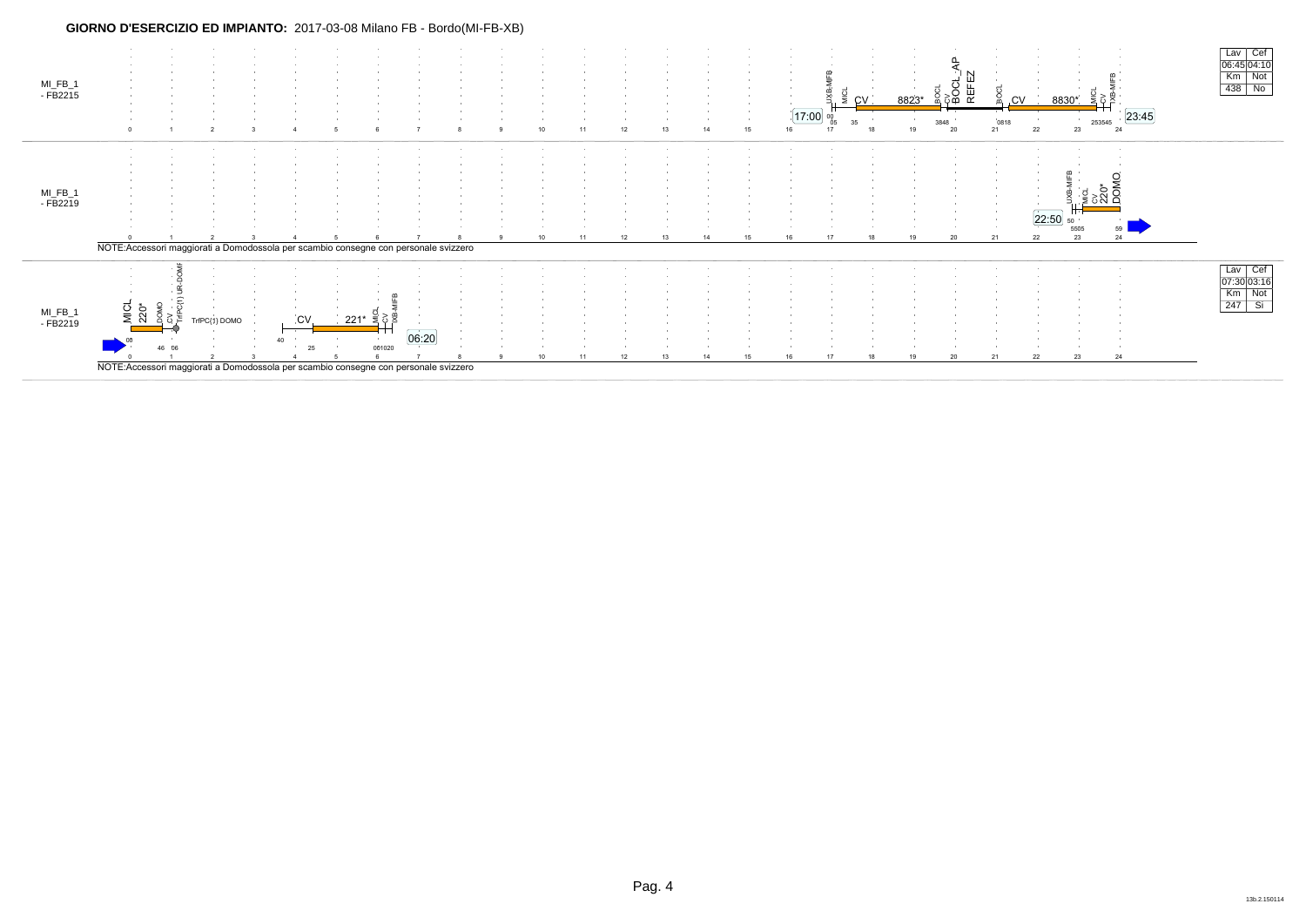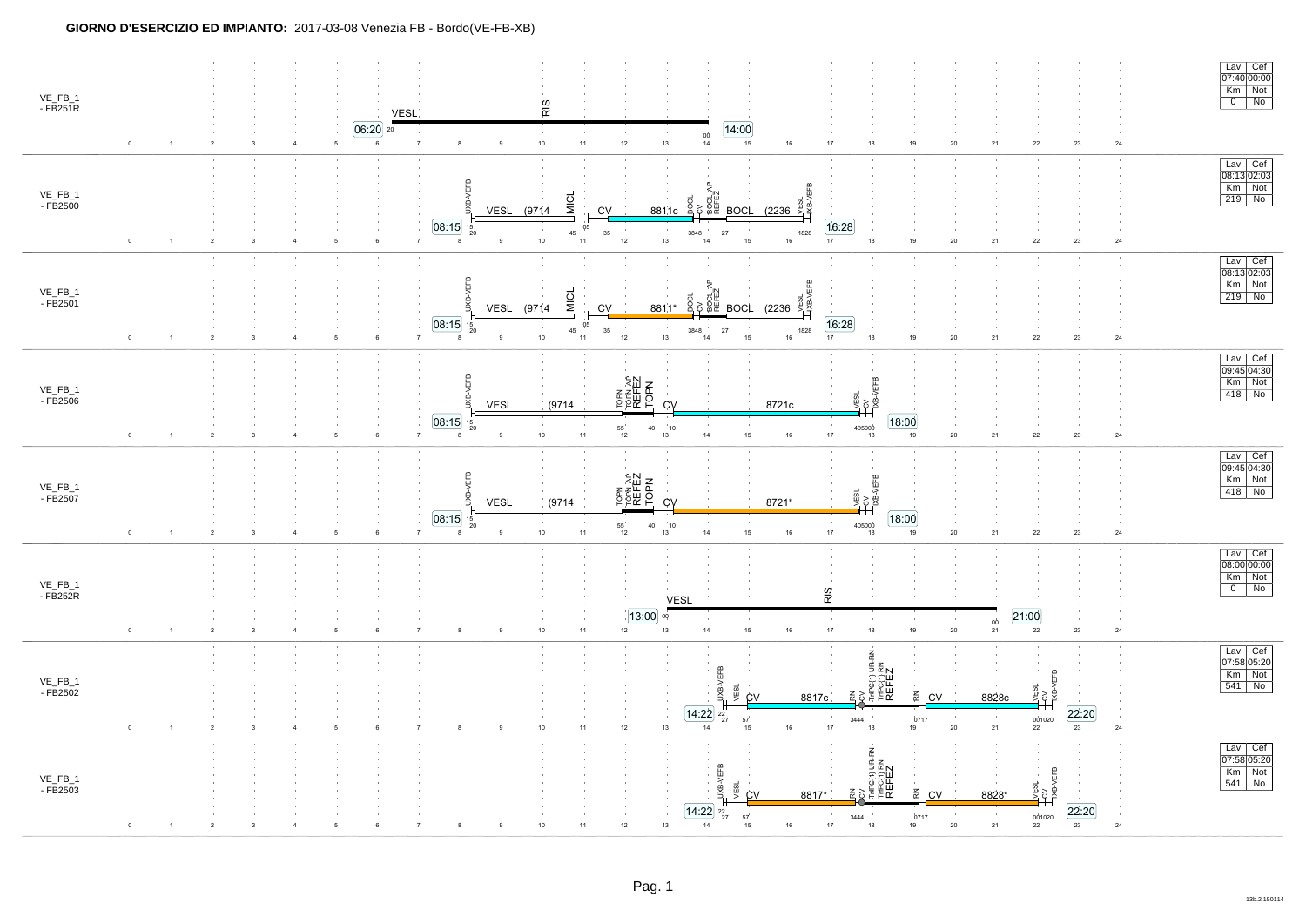|                     |                                                                  |                                                                          |                                                    |                                              |                                                                         |                                                     |                                                                         |                                    | $\begin{tabular}{ c c } \hline & Lav & Cef \\ \hline 07:40 & 00:00 \\ \hline Km & Not \\ \hline 0 & No \\ \hline \end{tabular}$ |
|---------------------|------------------------------------------------------------------|--------------------------------------------------------------------------|----------------------------------------------------|----------------------------------------------|-------------------------------------------------------------------------|-----------------------------------------------------|-------------------------------------------------------------------------|------------------------------------|---------------------------------------------------------------------------------------------------------------------------------|
| VE_FB_1<br>- FB251R |                                                                  | <b>VESL</b>                                                              |                                                    | RIS                                          |                                                                         |                                                     |                                                                         |                                    |                                                                                                                                 |
|                     | $\overline{2}$<br>$\overline{1}$<br>3                            | $[06:20]$ 20<br>$5\overline{5}$<br>6<br>$\overline{7}$<br>$\overline{4}$ | $\mathsf g$<br>8                                   | $10\,$<br>$12\,$<br>$11\,$                   | (14:00)<br>$\frac{00}{14}$<br>$13\,$<br>15                              | $16\,$<br>17<br>$18\,$                              | 21<br>$20\,$<br>19                                                      | 22<br>23<br>$\bf 24$               |                                                                                                                                 |
|                     |                                                                  |                                                                          |                                                    |                                              |                                                                         |                                                     |                                                                         |                                    | Lav Cef<br>08:13 02:03<br>Km Not<br>219 No                                                                                      |
| VE_FB_1<br>- FB2500 |                                                                  |                                                                          | <b>JXB-VEFB</b><br><b>VESL</b>                     | <b>I</b><br><b>I</b><br>(9714)<br>CV         | 일종 중<br>8811c 8<br><b>BOCL</b>                                          | <b>LVESL</b><br>HXB-V<br>(2236)                     |                                                                         |                                    |                                                                                                                                 |
|                     | $\overline{2}$                                                   | $\sqrt{5}$<br>$\,6\,$                                                    | 08:15<br>$^{15}_{20}$<br>8                         | 05<br>35<br>45<br>$10\,$<br>$11\,$<br>$12\,$ | $\sim$<br>$27\,$<br>3848<br>15<br>13<br>14                              | 16:28<br>1828<br>$16\,$<br>17<br>$18\,$             | 19<br>$20\,$<br>21                                                      | $\bf 22$<br>$23\,$<br>24           |                                                                                                                                 |
|                     |                                                                  |                                                                          |                                                    |                                              |                                                                         |                                                     |                                                                         |                                    |                                                                                                                                 |
| VE_FB_1<br>- FB2501 |                                                                  |                                                                          | JXB-VEFB<br><b>VESL</b>                            | <b>MICL</b><br>(9714)<br>CV                  | <b>SOCI</b><br>정 중<br>8811*<br><b>BOCL</b>                              | iga<br>≌<br>(2236)                                  |                                                                         |                                    | Lav Cef<br>08:13 02:03<br>Km Not<br>219 No                                                                                      |
|                     | $\Omega$<br>$\overline{2}$                                       | 5<br>6                                                                   | [08:15]<br>$20 -$                                  | 05<br>$35\,$<br>45<br>$10$<br>$12\,$<br>11   | 27<br>3848<br>$13\,$<br>15<br>14                                        | [16:28]<br>1828<br>17<br>16<br>$18\,$               | 19<br>$20\,$<br>21                                                      | 24<br>22<br>$23\,$                 |                                                                                                                                 |
|                     |                                                                  |                                                                          |                                                    |                                              |                                                                         |                                                     |                                                                         |                                    |                                                                                                                                 |
| VE_FB_1<br>- FB2506 |                                                                  |                                                                          | JXB-VEFB                                           | <b>TOPN<br/>TOPNAP<br/>REFEZ<br/>TOPN</b>    |                                                                         | LCV<br>TXB-VEFB<br>ESL                              |                                                                         |                                    | Lav Cef<br>09:45 04:30<br>Km Not<br>418 No                                                                                      |
|                     | $\overline{1}$<br>$\overline{2}$                                 | 5<br>6                                                                   | VESL<br>[08:15]<br>15<br>20<br>$\overline{9}$<br>8 | (9714)<br>$\frac{55}{12}$<br>$10$<br>11      | <b>CV</b><br>40<br>10<br>13<br>14<br>15                                 | 8721c<br>$\cdot$<br>405000<br>$16\,$<br>17<br>18    | [18:00]<br>19<br>$20\,$<br>21                                           | $22\,$<br>$23\,$<br>24             |                                                                                                                                 |
|                     |                                                                  |                                                                          |                                                    |                                              |                                                                         |                                                     |                                                                         |                                    | Lav Cef<br>09:45 04:30<br>Km Not                                                                                                |
| VE_FB_1<br>- FB2507 |                                                                  |                                                                          | JXB-VEFB                                           | JTOPN<br>TOPNAP<br>REFEZ<br>JTOPN            |                                                                         | CV<br>VB-VEFB<br>∕ESL                               |                                                                         |                                    | $418$ No                                                                                                                        |
|                     |                                                                  | $\overline{7}$                                                           | <b>VESL</b><br>[08:15]<br>15<br>20<br>$\mathsf g$  | (9714)<br>$\frac{55}{12}$<br>$10$<br>$11\,$  | CV<br>40<br>$\begin{array}{c} 10 \\ 13 \end{array}$<br>$14\,$<br>$15\,$ | 8721*<br>405000<br>$16\,$<br>17                     | 18:00<br>$20\,$                                                         | 24                                 |                                                                                                                                 |
|                     | $\overline{2}$                                                   | 6<br>5                                                                   | 8                                                  |                                              |                                                                         | 18                                                  | 21<br>19                                                                | 22<br>$23\,$                       |                                                                                                                                 |
| VE_FB_1<br>- FB252R |                                                                  |                                                                          |                                                    |                                              |                                                                         | RIS                                                 |                                                                         |                                    | $\begin{tabular}{ c c } \hline & Lav & Cef \\ \hline 08:00&00:00 \\ \hline Km & Not \\ \hline 0 & No \\ \hline \end{tabular}$   |
|                     |                                                                  |                                                                          |                                                    | [13:00]                                      | VESL<br>00                                                              |                                                     | $\mathop{0\mathrm{\dot{0}}}\limits_{21}$                                | [21:00]                            |                                                                                                                                 |
|                     | $\overline{2}$<br>$\Omega$<br>$\mathbf{1}$<br>-3                 | $\overline{7}$<br>5<br>6                                                 | 9<br>8                                             | $11\,$<br>12<br>$10\,$                       | 15<br>13<br>14                                                          | 17<br>$16\,$<br>18                                  | $20\,$<br>19                                                            | 22<br>$23\,$<br>24                 |                                                                                                                                 |
| $VE_FB_1$           |                                                                  |                                                                          |                                                    |                                              | /EFB                                                                    | THPO(1) UR-RN<br>THPO(1) RN<br>REFEZ                |                                                                         | <b>JEFB</b>                        | Lav Cef<br>07:58 05:20<br>Km Not<br>541 No                                                                                      |
| - FB2502            |                                                                  |                                                                          |                                                    |                                              | VESL<br>ğ<br><b>CV</b><br>14:22<br>$^{22}_{27}$<br>57                   | 줎<br>8817c<br>$\sim$<br>3444                        | Ř<br><b>CV</b><br>8828c<br>$\sim 10$<br>$\sim$ 1 $\sim$<br>0717         | 얮<br>[22:20]<br>001020             |                                                                                                                                 |
|                     | $\mathsf{O}\xspace$<br>$\overline{2}$<br>$\overline{\mathbf{3}}$ | $\,$ 5<br>$\overline{7}$<br>6                                            | 9                                                  | $12\,$<br>11<br>10                           | 13<br>14<br>15                                                          | $16\,$<br>$17$<br>18                                | $20\,$<br>19<br>21                                                      | 23<br>24<br>22                     |                                                                                                                                 |
| VE_FB_1<br>- FB2503 |                                                                  |                                                                          |                                                    |                                              | ÆЕ                                                                      | Lan<br>PCV<br>⊥rnPC(1) UR-RN<br>TrPC(1) RN<br>REFEZ |                                                                         | VEFB                               | Lav Cef<br>07:58 05:20<br>Km Not<br>541 No                                                                                      |
|                     |                                                                  |                                                                          |                                                    |                                              | yESL<br>jу.<br><b>CV</b><br>$\sqrt{14.22}$ $^{22}_{27}$<br>57           | 8817*<br>3444                                       | 蚤<br>.CV<br>8828*                                                       | [22:20]                            |                                                                                                                                 |
|                     | $\overline{2}$                                                   |                                                                          |                                                    | $12\,$<br>11                                 | 13<br>14<br>15                                                          | $16\,$<br>17<br>18                                  | $\begin{array}{c} { \backslash} 0717 \\ 19 \end{array}$<br>$20\,$<br>21 | $\frac{0}{22}^{01020}$<br>23<br>24 |                                                                                                                                 |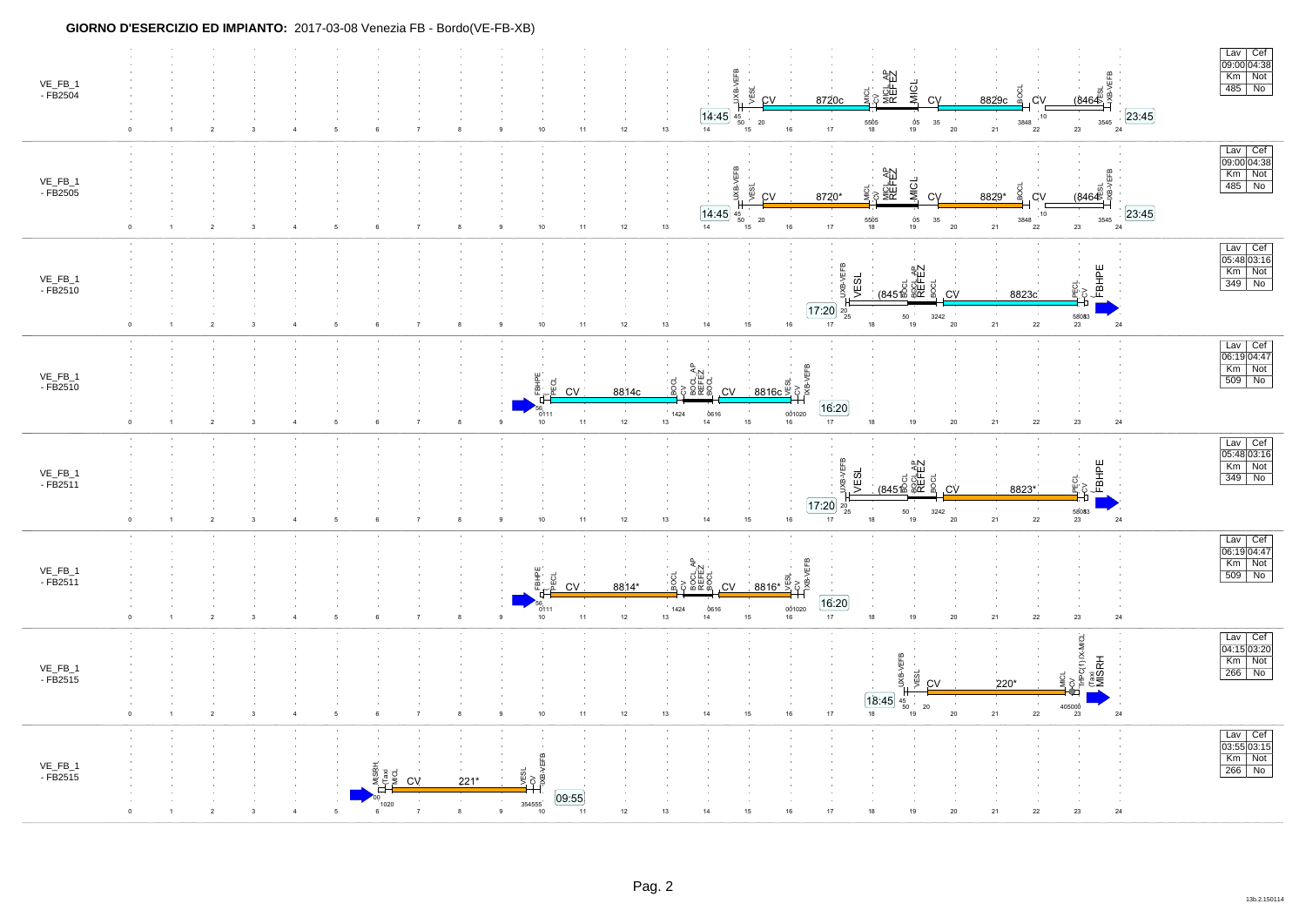| VE_FB_1<br>- FB2504      | JXB-VEFB<br>호<br>제 <u>이 유명</u><br>REFEZ<br><b>MICL</b><br>y<br>Si<br>CV<br>$rac{6}{100}$<br>BOCI<br>8720c<br>8829c<br>.CV<br><b>CV</b><br>23:45<br>14:45<br>10<br>45<br>$\begin{array}{c} 05 \\ 19 \end{array}$<br>$3545$ $24$<br>${\bf 20}$<br>5505<br>18<br>3848<br>35<br>$\frac{10}{50}$ 15<br>13<br>$16\,$<br>17<br>20<br>21<br>$23\,$<br>10<br>$12\,$<br>14<br>22<br>11<br>$\overline{2}$<br>$\overline{\mathbf{3}}$<br>6<br>8<br>$\Delta$<br>5<br>$\overline{7}$<br>-9                                                                                                                                                                                             | Lav Cef<br>$\frac{200}{09:00}$ 04:38<br>Km Not<br>$485$ No                                                              |
|--------------------------|--------------------------------------------------------------------------------------------------------------------------------------------------------------------------------------------------------------------------------------------------------------------------------------------------------------------------------------------------------------------------------------------------------------------------------------------------------------------------------------------------------------------------------------------------------------------------------------------------------------------------------------------------------------------------|-------------------------------------------------------------------------------------------------------------------------|
| VE_FB_1<br>- FB2505      | JXB-VEFB<br>cv<br>MICL AP<br>REFEZ<br><b>VEFB</b><br>MICL<br>VESL<br>$\frac{d}{2}$<br>(8464)<br>CV<br>8720*<br><b>CV</b><br>8829*<br>.CV<br>23:45<br> 14:45 <br>10 <sub>1</sub><br>$\frac{45}{50}$<br>$\sim$<br>$\sim$ 10 $\,$<br>$\begin{array}{c} 05 \\ 19 \end{array}$<br>3848<br>3545<br>$20\,$<br>5505<br>35<br>$20\,$<br>23<br>10 <sub>1</sub><br>11<br>12<br>13<br>14<br>15<br>16<br>17<br>18<br>21<br>22<br>24<br>$\overline{2}$<br>$\overline{\mathbf{3}}$<br>$\overline{4}$<br>$\,6\,$<br>$\overline{7}$<br>8<br>9<br>5                                                                                                                                        | $\begin{array}{ c c } \hline \text{Lav} & \text{Cef} \\ \hline 09:00 & 04:38 \\ \hline \end{array}$<br>Km Not<br>485 No |
| $VE_FB_1$<br>$-FB2510$   | <b>JEFB</b><br>FBHPE<br>$\begin{array}{c}\n\text{1.3}\n\text{1.4}\n\text{1.5}\n\text{1.4}\n\text{1.5}\n\text{1.4}\n\text{1.5}\n\text{1.4}\n\text{1.5}\n\text{1.6}\n\text{1.6}\n\text{1.7}\n\text{1.7}\n\text{1.7}\n\text{1.7}\n\text{1.7}\n\text{1.7}\n\text{1.7}\n\text{1.7}\n\text{1.7}\n\text{1.7}\n\text{1.7}\n\text{1.7}\n\text{1.7}\n\text{1.7}\n\text{1.7}\n\text{1$<br>VESL<br>PECL<br>CV<br>8823c<br>CV<br>$17:20$ $20$ $25$<br>$\sim 10^{-1}$<br>$50\,$<br>3242<br>58083<br>23<br>21<br>$15$<br>$16\,$<br>17<br>19<br>20<br>22<br>24<br>$10\,$<br>11<br>$12\,$<br>14<br>18<br>13<br>$\overline{2}$<br>$\overline{\mathbf{3}}$<br>5<br>8<br>9<br>$\overline{4}$ | $\frac{Law}{05:48 03:16}$<br>Km Not<br>$349$ No                                                                         |
| VE_FB_1<br>- FB2510      | <b>CV<br/>TXB-VEFB</b><br>CV<br>BOCL_AP<br>BOCL<br>BOCL<br><b>HHE</b><br>iocl<br>ದ<br>8814c<br><b>CV</b><br><b>CV</b><br>16:20<br>1424<br>0616<br>001020<br>$\frac{0}{10}$ 111<br>11<br>12<br>13<br>14<br>15<br>16<br>17<br>19<br>$20\degree$<br>21<br>22<br>$23\,$<br>24<br>$\overline{2}$<br>$\mathbf{8}$<br>$\overline{9}$<br>$\overline{\mathbf{3}}$<br>5<br>$\overline{7}$<br>18<br>$\overline{4}$                                                                                                                                                                                                                                                                  | Lav Cef<br>06:19 04:47<br>$Km$ Not<br>$509$ No                                                                          |
| $VE\_FB\_1$<br>$-FB2511$ | <b>JEFB</b><br>4개<br>5 <sub>전</sub> 행<br>845 원 (845)<br>845 원 (845)<br><b>PECL</b><br>CV<br>FBHPE<br>VESL<br>햦<br>.CV<br>8823*<br>$17:20$ $20$ $25$<br>$50\,$<br>3242<br>58083<br>$21\,$<br>$16\,$<br>$19$<br>$20\,$<br>$\mathbf{24}$<br>10 <sub>1</sub><br>$11$<br>$12\,$<br>14<br>15<br>17<br>18<br>22<br>$23\,$<br>$\overline{2}$<br>9<br>13<br>$\overline{\mathbf{3}}$<br>6<br>$\overline{7}$                                                                                                                                                                                                                                                                        | Lav Cef<br>05:48 03:16<br>Km Not<br>349 No                                                                              |
| VE_FB_1<br>$-FB2511$     | <b>POLAP</b><br>BOLLAP<br>BOCL<br>BOCL<br>FBHPE<br>g<br>g<br>8814*<br>CV.<br><b>CV</b><br>[16:20]<br>$\frac{0616}{14}$<br>001020<br>16<br>1424<br>0111<br>$12\,$<br>$11$<br>13<br>15<br>17<br>18<br>$19$<br>$20\,$<br>21<br>${\bf 22}$<br>$23\,$<br>$\bf 24$<br>$\mathbf{q}$<br>$\overline{2}$<br>5<br>8<br>10<br>3<br>$\overline{4}$<br>$\overline{7}$                                                                                                                                                                                                                                                                                                                  | Lav Cef<br>$\overline{06:19}$ 04:47<br>Km Not<br>$509$ No                                                               |
| VE_FB_1<br>- FB2515      | PCV<br>TriPC(1) IX-MICL<br>EFB.<br>Taxi<br>MISRH<br>VESL<br>렇<br>Š<br>220*<br>CV<br>18:45<br>45<br>50<br>405000<br>$20\,$<br>10<br>$16\,$<br>$17$<br>$18\,$<br>$20\,$<br>21<br>${\bf 22}$<br>$\bf 24$<br>$\overline{2}$<br>$\overline{\mathbf{3}}$<br>$\overline{4}$<br>5<br>$\,6\,$<br>8<br>9<br>11<br>$12\,$<br>13<br>14<br>15<br>19<br>23                                                                                                                                                                                                                                                                                                                             | Lav Cef<br>04:15 03:20<br>Km Not<br>$266$ No                                                                            |
| VE_FB_1<br>- FB2515      | $\begin{array}{c}\n\hline\n\text{yes.} \\ \hline\n\text{two.} \\ \hline\n\text{two.} \\ \hline\n\end{array}$<br>Taxi<br>MICL<br>CV<br>$221*$<br>[09:55]<br>354555<br>1020<br>19<br>$\mathbf{24}$<br>8<br>10<br>12<br>14<br>20<br>21<br>22<br>$\bf 23$<br>5<br>9<br>11<br>13<br>15<br>16<br>$\mathbf{3}$                                                                                                                                                                                                                                                                                                                                                                  | Lav Cef<br>$\frac{20}{03:55}{03:15}$<br>Km Not<br>$266$ No                                                              |